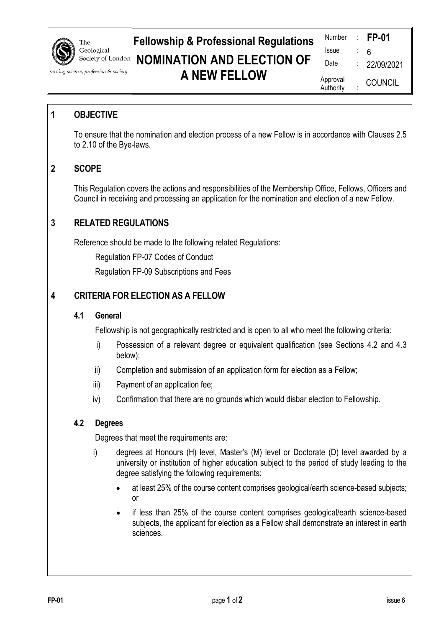

The Geological Society of London

#### serving science, profession & society

# **Fellowship & Professional Regulations NOMINATION AND ELECTION OF**

| Number                | FP-01          |
|-----------------------|----------------|
| Issue                 | 6              |
| Date                  | 22/09/2021     |
| Approval<br>Authority | <b>COUNCIL</b> |

# **A NEW FELLOW**

## **1 OBJECTIVE**

To ensure that the nomination and election process of a new Fellow is in accordance with Clauses 2.5 to 2.10 of the Bye-laws.

# **2 SCOPE**

This Regulation covers the actions and responsibilities of the Membership Office, Fellows, Officers and Council in receiving and processing an application for the nomination and election of a new Fellow.

# **3 RELATED REGULATIONS**

Reference should be made to the following related Regulations:

Regulation FP-07 Codes of Conduct

Regulation FP-09 Subscriptions and Fees

# **4 CRITERIA FOR ELECTION AS A FELLOW**

#### **4.1 General**

Fellowship is not geographically restricted and is open to all who meet the following criteria:

- i) Possession of a relevant degree or equivalent qualification (see Sections 4.2 and 4.3 below);
- ii) Completion and submission of an application form for election as a Fellow;
- iii) Payment of an application fee;
- iv) Confirmation that there are no grounds which would disbar election to Fellowship.

#### **4.2 Degrees**

Degrees that meet the requirements are:

- i) degrees at Honours (H) level, Master's (M) level or Doctorate (D) level awarded by a university or institution of higher education subject to the period of study leading to the degree satisfying the following requirements:
	- at least 25% of the course content comprises geological/earth science-based subjects; or
	- if less than 25% of the course content comprises geological/earth science-based subjects, the applicant for election as a Fellow shall demonstrate an interest in earth sciences.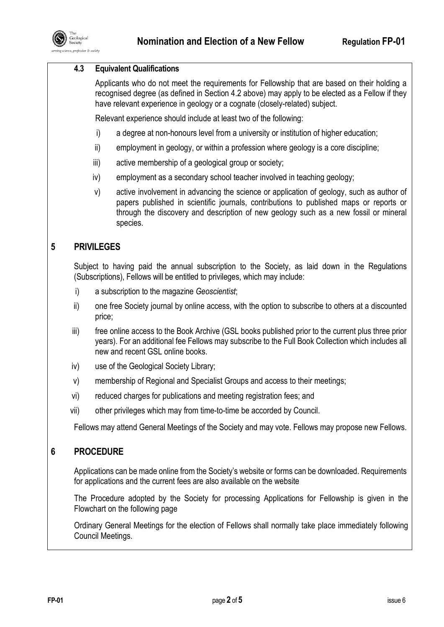

#### **4.3 Equivalent Qualifications**

Applicants who do not meet the requirements for Fellowship that are based on their holding a recognised degree (as defined in Section 4.2 above) may apply to be elected as a Fellow if they have relevant experience in geology or a cognate (closely-related) subject.

Relevant experience should include at least two of the following:

- i) a degree at non-honours level from a university or institution of higher education;
- ii) employment in geology, or within a profession where geology is a core discipline;
- iii) active membership of a geological group or society;
- iv) employment as a secondary school teacher involved in teaching geology;
- v) active involvement in advancing the science or application of geology, such as author of papers published in scientific journals, contributions to published maps or reports or through the discovery and description of new geology such as a new fossil or mineral species.

### **5 PRIVILEGES**

Subject to having paid the annual subscription to the Society, as laid down in the Regulations (Subscriptions), Fellows will be entitled to privileges, which may include:

- i) a subscription to the magazine *Geoscientist*;
- ii) one free Society journal by online access, with the option to subscribe to others at a discounted price;
- iii) free online access to the Book Archive (GSL books published prior to the current plus three prior years). For an additional fee Fellows may subscribe to the Full Book Collection which includes all new and recent GSL online books.
- iv) use of the Geological Society Library;
- v) membership of Regional and Specialist Groups and access to their meetings;
- vi) reduced charges for publications and meeting registration fees; and
- vii) other privileges which may from time-to-time be accorded by Council.

Fellows may attend General Meetings of the Society and may vote. Fellows may propose new Fellows.

#### **6 PROCEDURE**

Applications can be made online from the Society's website or forms can be downloaded. Requirements for applications and the current fees are also available on the website

The Procedure adopted by the Society for processing Applications for Fellowship is given in the Flowchart on the following page

Ordinary General Meetings for the election of Fellows shall normally take place immediately following Council Meetings.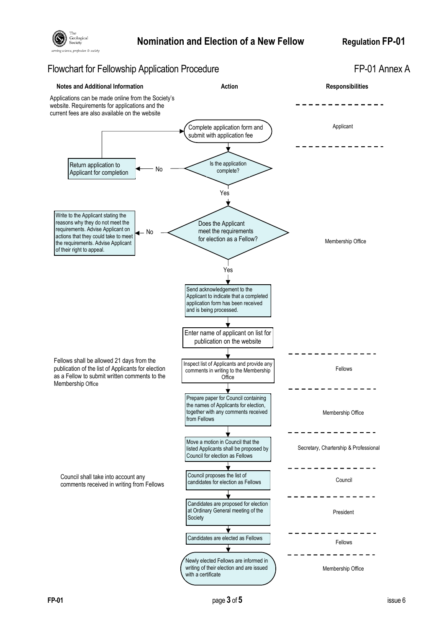

# **Nomination and Election of a New Fellow Regulation FP-01**

# Flowchart for Fellowship Application Procedure FR-01 Annex A



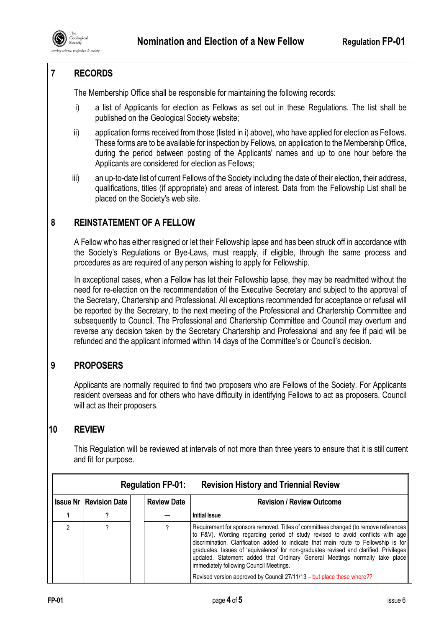

# **7 RECORDS**

The Membership Office shall be responsible for maintaining the following records:

- i) a list of Applicants for election as Fellows as set out in these Regulations. The list shall be published on the Geological Society website;
- ii) application forms received from those (listed in i) above), who have applied for election as Fellows. These forms are to be available for inspection by Fellows, on application to the Membership Office, during the period between posting of the Applicants' names and up to one hour before the Applicants are considered for election as Fellows;
- iii) an up-to-date list of current Fellows of the Society including the date of their election, their address, qualifications, titles (if appropriate) and areas of interest. Data from the Fellowship List shall be placed on the Society's web site.

# **8 REINSTATEMENT OF A FELLOW**

A Fellow who has either resigned or let their Fellowship lapse and has been struck off in accordance with the Society's Regulations or Bye-Laws, must reapply, if eligible, through the same process and procedures as are required of any person wishing to apply for Fellowship.

In exceptional cases, when a Fellow has let their Fellowship lapse, they may be readmitted without the need for re-election on the recommendation of the Executive Secretary and subject to the approval of the Secretary, Chartership and Professional. All exceptions recommended for acceptance or refusal will be reported by the Secretary, to the next meeting of the Professional and Chartership Committee and subsequently to Council. The Professional and Chartership Committee and Council may overturn and reverse any decision taken by the Secretary Chartership and Professional and any fee if paid will be refunded and the applicant informed within 14 days of the Committee's or Council's decision.

# **9 PROPOSERS**

Applicants are normally required to find two proposers who are Fellows of the Society. For Applicants resident overseas and for others who have difficulty in identifying Fellows to act as proposers, Council will act as their proposers.

# **10 REVIEW**

This Regulation will be reviewed at intervals of not more than three years to ensure that it is still current and fit for purpose.

| <b>Regulation FP-01:</b> |                               |                    | <b>Revision History and Triennial Review</b>                                                                                                                                                                                                                                                                                                                                                                                                                                       |  |
|--------------------------|-------------------------------|--------------------|------------------------------------------------------------------------------------------------------------------------------------------------------------------------------------------------------------------------------------------------------------------------------------------------------------------------------------------------------------------------------------------------------------------------------------------------------------------------------------|--|
|                          | <b>Issue Nr Revision Date</b> | <b>Review Date</b> | <b>Revision / Review Outcome</b>                                                                                                                                                                                                                                                                                                                                                                                                                                                   |  |
|                          |                               |                    | <b>Initial Issue</b>                                                                                                                                                                                                                                                                                                                                                                                                                                                               |  |
|                          |                               |                    | Requirement for sponsors removed. Titles of committees changed (to remove references<br>to F&V). Wording regarding period of study revised to avoid conflicts with age<br>discrimination. Clarification added to indicate that main route to Fellowship is for<br>graduates. Issues of 'equivalence' for non-graduates revised and clarified. Privileges<br>updated. Statement added that Ordinary General Meetings normally take place<br>immediately following Council Meetings. |  |
|                          |                               |                    | Revised version approved by Council 27/11/13 – but place these where??                                                                                                                                                                                                                                                                                                                                                                                                             |  |